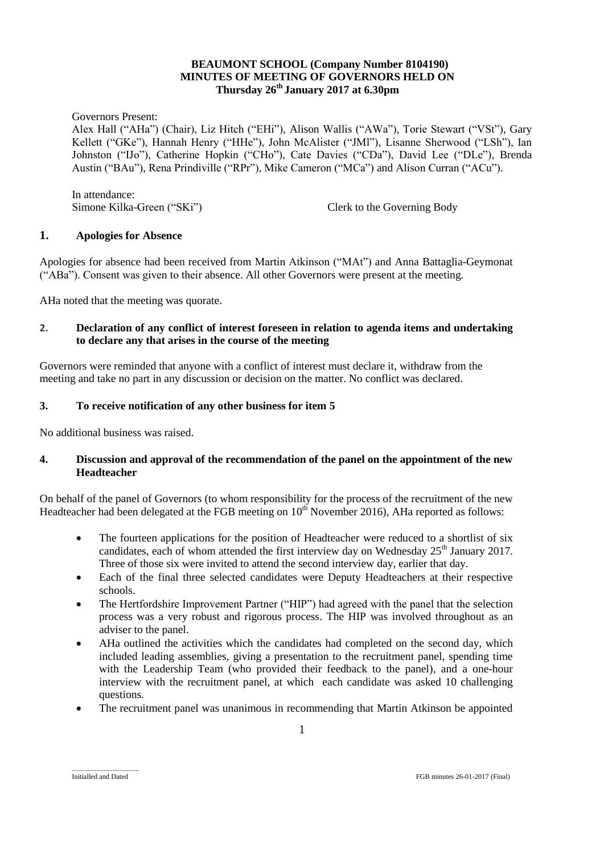# **BEAUMONT SCHOOL (Company Number 8104190) MINUTES OF MEETING OF GOVERNORS HELD ON Thursday 26th January 2017 at 6.30pm**

Governors Present:

Alex Hall ("AHa") (Chair), Liz Hitch ("EHi"), Alison Wallis ("AWa"), Torie Stewart ("VSt"), Gary Kellett ("GKe"), Hannah Henry ("HHe"), John McAlister ("JMl"), Lisanne Sherwood ("LSh"), Ian Johnston ("IJo"), Catherine Hopkin ("CHo"), Cate Davies ("CDa"), David Lee ("DLe"), Brenda Austin ("BAu"), Rena Prindiville ("RPr"), Mike Cameron ("MCa") and Alison Curran ("ACu").

In attendance: Simone Kilka-Green ("SKi") Clerk to the Governing Body

# **1. Apologies for Absence**

Apologies for absence had been received from Martin Atkinson ("MAt") and Anna Battaglia-Geymonat ("ABa"). Consent was given to their absence. All other Governors were present at the meeting.

AHa noted that the meeting was quorate.

# **2. Declaration of any conflict of interest foreseen in relation to agenda items and undertaking to declare any that arises in the course of the meeting**

Governors were reminded that anyone with a conflict of interest must declare it, withdraw from the meeting and take no part in any discussion or decision on the matter. No conflict was declared.

# **3. To receive notification of any other business for item 5**

No additional business was raised.

# **4. Discussion and approval of the recommendation of the panel on the appointment of the new Headteacher**

On behalf of the panel of Governors (to whom responsibility for the process of the recruitment of the new Headteacher had been delegated at the FGB meeting on 10<sup>th</sup> November 2016), AHa reported as follows:

- The fourteen applications for the position of Headteacher were reduced to a shortlist of six candidates, each of whom attended the first interview day on Wednesday  $25<sup>th</sup>$  January 2017. Three of those six were invited to attend the second interview day, earlier that day.
- Each of the final three selected candidates were Deputy Headteachers at their respective schools.
- The Hertfordshire Improvement Partner ("HIP") had agreed with the panel that the selection process was a very robust and rigorous process. The HIP was involved throughout as an adviser to the panel.
- AHa outlined the activities which the candidates had completed on the second day, which included leading assemblies, giving a presentation to the recruitment panel, spending time with the Leadership Team (who provided their feedback to the panel), and a one-hour interview with the recruitment panel, at which each candidate was asked 10 challenging questions.
- The recruitment panel was unanimous in recommending that Martin Atkinson be appointed

......................................